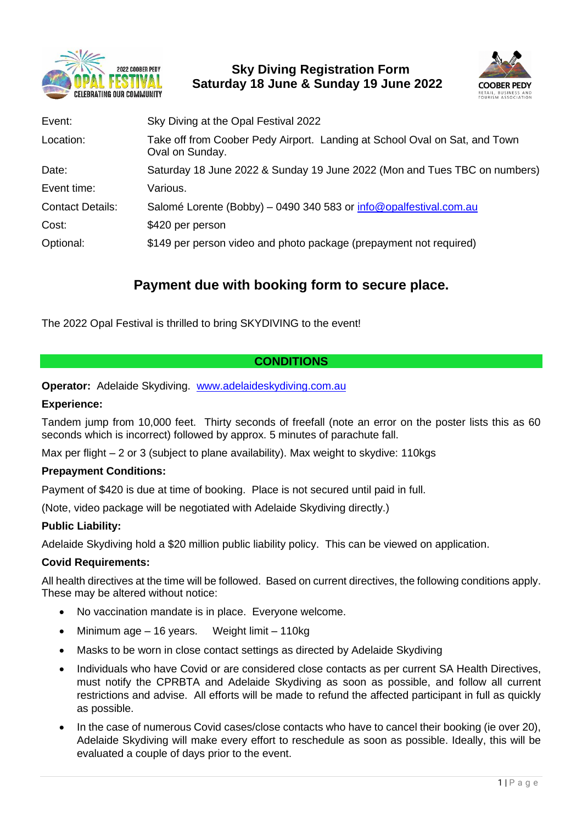

 **Sky Diving Registration Form Saturday 18 June & Sunday 19 June 2022**



| Sky Diving at the Opal Festival 2022                                                          |
|-----------------------------------------------------------------------------------------------|
| Take off from Coober Pedy Airport. Landing at School Oval on Sat, and Town<br>Oval on Sunday. |
| Saturday 18 June 2022 & Sunday 19 June 2022 (Mon and Tues TBC on numbers)                     |
| Various.                                                                                      |
| Salomé Lorente (Bobby) - 0490 340 583 or info@opalfestival.com.au                             |
| \$420 per person                                                                              |
| \$149 per person video and photo package (prepayment not required)                            |
|                                                                                               |

# **Payment due with booking form to secure place.**

The 2022 Opal Festival is thrilled to bring SKYDIVING to the event!

# **CONDITIONS**

**Operator:** Adelaide Skydiving. <www.adelaideskydiving.com.au>

## **Experience:**

Tandem jump from 10,000 feet. Thirty seconds of freefall (note an error on the poster lists this as 60 seconds which is incorrect) followed by approx. 5 minutes of parachute fall.

Max per flight  $-2$  or 3 (subject to plane availability). Max weight to skydive: 110 kgs

## **Prepayment Conditions:**

Payment of \$420 is due at time of booking. Place is not secured until paid in full.

(Note, video package will be negotiated with Adelaide Skydiving directly.)

## **Public Liability:**

Adelaide Skydiving hold a \$20 million public liability policy. This can be viewed on application.

## **Covid Requirements:**

All health directives at the time will be followed. Based on current directives, the following conditions apply. These may be altered without notice:

- No vaccination mandate is in place. Everyone welcome.
- Minimum age 16 years. Weight limit 110kg
- Masks to be worn in close contact settings as directed by Adelaide Skydiving
- Individuals who have Covid or are considered close contacts as per current SA Health Directives, must notify the CPRBTA and Adelaide Skydiving as soon as possible, and follow all current restrictions and advise. All efforts will be made to refund the affected participant in full as quickly as possible.
- In the case of numerous Covid cases/close contacts who have to cancel their booking (ie over 20), Adelaide Skydiving will make every effort to reschedule as soon as possible. Ideally, this will be evaluated a couple of days prior to the event.